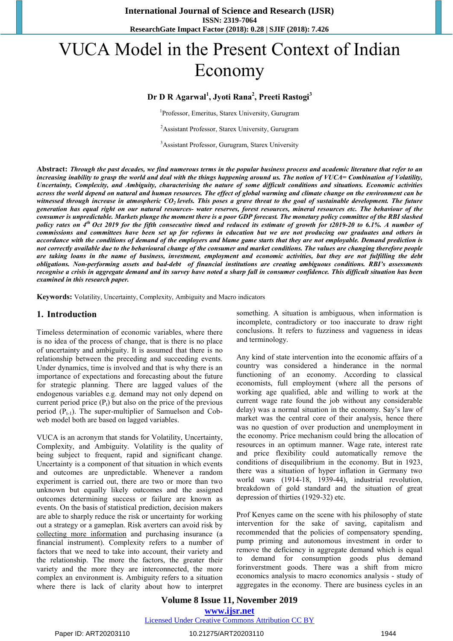# VUCA Model in the Present Context of Indian Economy

#### **Dr D R Agarwal<sup>1</sup> , Jyoti Rana<sup>2</sup> , Preeti Rastogi<sup>3</sup>**

<sup>1</sup>Professor, Emeritus, Starex University, Gurugram

<sup>2</sup>Assistant Professor, Starex University, Gurugram

<sup>3</sup>Assistant Professor, Gurugram, Starex University

Abstract: Through the past decades, we find numerous terms in the popular business process and academic literature that refer to an increasing inability to grasp the world and deal with the things happening around us. The notion of VUCA= Combination of Volatility, Uncertainty, Complexity, and Ambiguity, characterising the nature of some difficult conditions and situations. Economic activities across the world depend on natural and human resources. The effect of global warming and climate change on the environment can be witnessed through increase in atmospheric CO<sub>2</sub> levels. This poses a grave threat to the goal of sustainable development. The future generation has equal right on our natural resources- water reserves, forest resources, mineral resources etc. The behaviour of the consumer is unpredictable. Markets plunge the moment there is a poor GDP forecast. The monetary policy committee of the RBI slashed policy rates on 4<sup>th</sup> Oct 2019 for the fifth consecutive timed and reduced its estimate of growth for t2019-20 to 6.1%. A number of commissions and committees have been set up for reforms in education but we are not producing our graduates and others in accordance with the conditions of demand of the employers and blame game starts that they are not employable. Demand prediction is not correctly available due to the behavioural change of the consumer and market conditions. The values are changing therefore people are taking loans in the name of business, investment, employment and economic activities, but they are not fulfilling the debt *obligations. Non-performing assets and bad-debt of financial institutions are creating ambiguous conditions. RBI's assessments* recognise a crisis in aggregate demand and its survey have noted a sharp fall in consumer confidence. This difficult situation has been *examined in this research paper.*

**Keywords:** Volatility, Uncertainty, Complexity, Ambiguity and Macro indicators

#### **1. Introduction**

Timeless determination of economic variables, where there is no idea of the process of change, that is there is no place of uncertainty and ambiguity. It is assumed that there is no relationship between the preceding and succeeding events. Under dynamics, time is involved and that is why there is an importance of expectations and forecasting about the future for strategic planning. There are lagged values of the endogenous variables e.g. demand may not only depend on current period price  $(P_t)$  but also on the price of the previous period  $(P_{t-1})$ . The super-multiplier of Samuelson and Cobweb model both are based on lagged variables.

VUCA is an acronym that stands for Volatility, Uncertainty, Complexity, and Ambiguity. Volatility is the quality of being subject to frequent, rapid and significant change. Uncertainty is a component of that situation in which events and outcomes are unpredictable. Whenever a random experiment is carried out, there are two or more than two unknown but equally likely outcomes and the assigned outcomes determining success or failure are known as events. On the basis of statistical prediction, decision makers are able to sharply reduce the risk or uncertainty for working out a strategy or a gameplan. Risk averters can avoid risk by collecting more information and purchasing insurance (a financial instrument). Complexity refers to a number of factors that we need to take into account, their variety and the relationship. The more the factors, the greater their variety and the more they are interconnected, the more complex an environment is. Ambiguity refers to a situation where there is lack of clarity about how to interpret

something. A situation is ambiguous, when information is incomplete, contradictory or too inaccurate to draw right conclusions. It refers to fuzziness and vagueness in ideas and terminology.

Any kind of state intervention into the economic affairs of a country was considered a hinderance in the normal functioning of an economy. According to classical economists, full employment (where all the persons of working age qualified, able and willing to work at the current wage rate found the job without any considerable delay) was a normal situation in the economy. Say's law of market was the central core of their analysis, hence there was no question of over production and unemployment in the economy. Price mechanism could bring the allocation of resources in an optimum manner. Wage rate, interest rate and price flexibility could automatically remove the conditions of disequilibrium in the economy. But in 1923, there was a situation of hyper inflation in Germany two world wars (1914-18, 1939-44), industrial revolution, breakdown of gold standard and the situation of great depression of thirties (1929-32) etc.

Prof Kenyes came on the scene with his philosophy of state intervention for the sake of saving, capitalism and recommended that the policies of compensatory spending, pump priming and autonomous investment in order to remove the deficiency in aggregate demand which is equal to demand for consumption goods plus demand forinverstment goods. There was a shift from micro economics analysis to macro economics analysis - study of aggregates in the economy. There are business cycles in an

#### **Volume 8 Issue 11, November 2019 www.ijsr.net** Licensed Under Creative Commons Attribution CC BY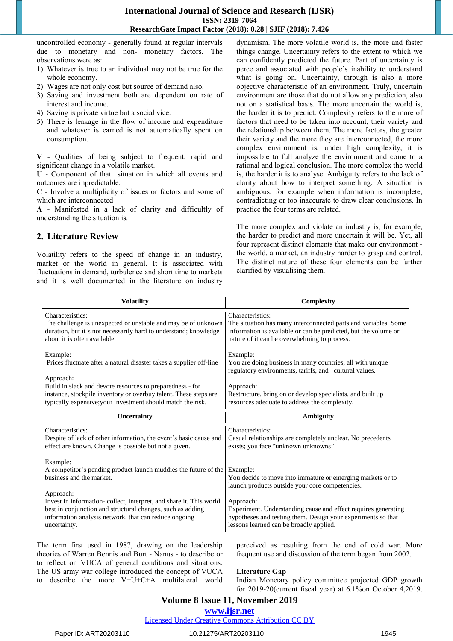uncontrolled economy - generally found at regular intervals due to monetary and non- monetary factors. The observations were as:

- 1) Whatever is true to an individual may not be true for the whole economy.
- 2) Wages are not only cost but source of demand also.
- 3) Saving and investment both are dependent on rate of interest and income.
- 4) Saving is private virtue but a social vice.
- 5) There is leakage in the flow of income and expenditure and whatever is earned is not automatically spent on consumption.

**V** - Qualities of being subject to frequent, rapid and significant change in a volatile market.

**U** - Component of that situation in which all events and outcomes are inpredictable.

**C** - Involve a multiplicity of issues or factors and some of which are interconnected

**A** - Manifested in a lack of clarity and difficultly of understanding the situation is.

#### **2. Literature Review**

Volatility refers to the speed of change in an industry, market or the world in general. It is associated with fluctuations in demand, turbulence and short time to markets and it is well documented in the literature on industry dynamism. The more volatile world is, the more and faster things change. Uncertainty refers to the extent to which we can confidently predicted the future. Part of uncertainty is perce and associated with people's inability to understand what is going on. Uncertainty, through is also a more objective characteristic of an environment. Truly, uncertain environment are those that do not allow any prediction, also not on a statistical basis. The more uncertain the world is, the harder it is to predict. Complexity refers to the more of factors that need to be taken into account, their variety and the relationship between them. The more factors, the greater their variety and the more they are interconnected, the more complex environment is, under high complexity, it is impossible to full analyze the environment and come to a rational and logical conclusion. The more complex the world is, the harder it is to analyse. Ambiguity refers to the lack of clarity about how to interpret something. A situation is ambiguous, for example when information is incomplete, contradicting or too inaccurate to draw clear conclusions. In practice the four terms are related.

The more complex and violate an industry is, for example, the harder to predict and more uncertain it will be. Yet, all four represent distinct elements that make our environment the world, a market, an industry harder to grasp and control. The distinct nature of these four elements can be further clarified by visualising them.

| <b>Volatility</b>                                                                                                                                                                                                      | Complexity                                                                                                                                                                                             |
|------------------------------------------------------------------------------------------------------------------------------------------------------------------------------------------------------------------------|--------------------------------------------------------------------------------------------------------------------------------------------------------------------------------------------------------|
| Characteristics:<br>The challenge is unexpected or unstable and may be of unknown<br>duration, but it's not necessarily hard to understand; knowledge<br>about it is often available.                                  | Characteristics:<br>The situation has many interconnected parts and variables. Some<br>information is available or can be predicted, but the volume or<br>nature of it can be overwhelming to process. |
| Example:<br>Prices fluctuate after a natural disaster takes a supplier off-line                                                                                                                                        | Example:<br>You are doing business in many countries, all with unique<br>regulatory environments, tariffs, and cultural values.                                                                        |
| Approach:<br>Build in slack and devote resources to preparedness - for<br>instance, stockpile inventory or overbuy talent. These steps are<br>typically expensive; your investment should match the risk.              | Approach:<br>Restructure, bring on or develop specialists, and built up<br>resources adequate to address the complexity.                                                                               |
| Uncertainty                                                                                                                                                                                                            | Ambiguity                                                                                                                                                                                              |
| Characteristics:<br>Despite of lack of other information, the event's basic cause and<br>effect are known. Change is possible but not a given.                                                                         | Characteristics:<br>Casual relationships are completely unclear. No precedents<br>exists; you face "unknown unknowns"                                                                                  |
| Example:<br>A competitor's pending product launch muddies the future of the<br>business and the market.                                                                                                                | Example:<br>You decide to move into immature or emerging markets or to<br>launch products outside your core competencies.                                                                              |
| Approach:<br>Invest in information-collect, interpret, and share it. This world<br>best in conjunction and structural changes, such as adding<br>information analysis network, that can reduce ongoing<br>uncertainty. | Approach:<br>Experiment. Understanding cause and effect requires generating<br>hypotheses and testing them. Design your experiments so that<br>lessons learned can be broadly applied.                 |

The term first used in 1987, drawing on the leadership theories of Warren Bennis and Burt - Nanus - to describe or to reflect on VUCA of general conditions and situations. The US army war college introduced the concept of VUCA to describe the more V+U+C+A multilateral world perceived as resulting from the end of cold war. More frequent use and discussion of the term began from 2002.

#### **Literature Gap**

Indian Monetary policy committee projected GDP growth for 2019-20(current fiscal year) at 6.1%on October 4,2019.

# **Volume 8 Issue 11, November 2019**

**www.ijsr.net**

Licensed Under Creative Commons Attribution CC BY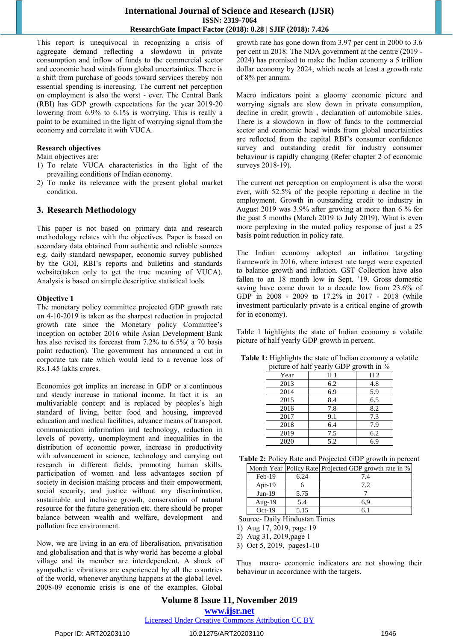This report is unequivocal in recognizing a crisis of aggregate demand reflecting a slowdown in private consumption and inflow of funds to the commercial sector and economic head winds from global uncertainties. There is a shift from purchase of goods toward services thereby non essential spending is increasing. The current net perception on employment is also the worst - ever. The Central Bank (RBI) has GDP growth expectations for the year 2019-20 lowering from 6.9% to 6.1% is worrying. This is really a point to be examined in the light of worrying signal from the economy and correlate it with VUCA.

#### **Research objectives**

Main objectives are:

- 1) To relate VUCA characteristics in the light of the prevailing conditions of Indian economy.
- 2) To make its relevance with the present global market condition.

#### **3. Research Methodology**

This paper is not based on primary data and research methodology relates with the objectives. Paper is based on secondary data obtained from authentic and reliable sources e.g. daily standard newspaper, economic survey published by the GOI, RBI's reports and bulletins and standards website(taken only to get the true meaning of VUCA). Analysis is based on simple descriptive statistical tools.

#### **Objective 1**

The monetary policy committee projected GDP growth rate on 4-10-2019 is taken as the sharpest reduction in projected growth rate since the Monetary policy Committee's inception on october 2016 while Asian Development Bank has also revised its forecast from 7.2% to 6.5%( a 70 basis point reduction). The government has announced a cut in corporate tax rate which would lead to a revenue loss of Rs.1.45 lakhs crores.

Economics got implies an increase in GDP or a continuous and steady increase in national income. In fact it is an multivariable concept and is replaced by peoples's high standard of living, better food and housing, improved education and medical facilities, advance means of transport, communication information and technology, reduction in levels of poverty, unemployment and inequalities in the distribution of economic power, increase in productivity with advancement in science, technology and carrying out research in different fields, promoting human skills, participation of women and less advantages section pf society in decision making process and their empowerment, social security, and justice without any discrimination, sustainable and inclusive growth, conservation of natural resource for the future generation etc. there should be proper balance between wealth and welfare, development and pollution free environment.

Now, we are living in an era of liberalisation, privatisation and globalisation and that is why world has become a global village and its member are interdependent. A shock of sympathetic vibrations are experienced by all the countries of the world, whenever anything happens at the global level. 2008-09 economic crisis is one of the examples. Global

growth rate has gone down from 3.97 per cent in 2000 to 3.6 per cent in 2018. The NDA government at the centre (2019 - 2024) has promised to make the Indian economy a 5 trillion dollar economy by 2024, which needs at least a growth rate of 8% per annum.

Macro indicators point a gloomy economic picture and worrying signals are slow down in private consumption, decline in credit growth , declaration of automobile sales. There is a slowdown in flow of funds to the commercial sector and economic head winds from global uncertainties are reflected from the capital RBI's consumer confidence survey and outstanding credit for industry consumer behaviour is rapidly changing (Refer chapter 2 of economic surveys 2018-19).

The current net perception on employment is also the worst ever, with 52.5% of the people reporting a decline in the employment. Growth in outstanding credit to industry in August 2019 was 3.9% after growing at more than 6 % for the past 5 months (March 2019 to July 2019). What is even more perplexing in the muted policy response of just a 25 basis point reduction in policy rate.

The Indian economy adopted an inflation targeting framework in 2016, where interest rate target were expected to balance growth and inflation. GST Collection have also fallen to an 18 month low in Sept. '19. Gross domestic saving have come down to a decade low from 23.6% of GDP in 2008 - 2009 to 17.2% in 2017 - 2018 (while investment particularly private is a critical engine of growth for in economy).

Table 1 highlights the state of Indian economy a volatile picture of half yearly GDP growth in percent.

| picture of half yearly GDP growth in % |     |                |  |  |  |
|----------------------------------------|-----|----------------|--|--|--|
| Year                                   | Η1  | H <sub>2</sub> |  |  |  |
| 2013                                   | 6.2 | 4.8            |  |  |  |
| 2014                                   | 6.9 | 5.9            |  |  |  |
| 2015                                   | 8.4 | 6.5            |  |  |  |
| 2016                                   | 7.8 | 8.2            |  |  |  |
| 2017                                   | 9.1 | 7.3            |  |  |  |
| 2018                                   | 6.4 | 7.9            |  |  |  |
| 2019                                   | 7.5 | 6.2            |  |  |  |
| 2020                                   | 5.2 | 6.9            |  |  |  |

**Table 1:** Highlights the state of Indian economy a volatile

| Table 2: Policy Rate and Projected GDP growth in percent |
|----------------------------------------------------------|
|----------------------------------------------------------|

|           |      | Month Year Policy Rate Projected GDP growth rate in % |  |
|-----------|------|-------------------------------------------------------|--|
| $Feb-19$  | 6.24 | 7.4                                                   |  |
| Apr- $19$ |      | 79                                                    |  |
| $Jun-19$  | 5.75 |                                                       |  |
| Aug- $19$ | 5.4  | 6.9                                                   |  |
| $Oct-19$  | 5.15 |                                                       |  |

Source- Daily Hindustan Times

1) Aug 17, 2019, page 19

2) Aug 31, 2019,page 1

3) Oct 5, 2019, pages1-10

Thus macro- economic indicators are not showing their behaviour in accordance with the targets.

# **Volume 8 Issue 11, November 2019 www.ijsr.net**

Licensed Under Creative Commons Attribution CC BY